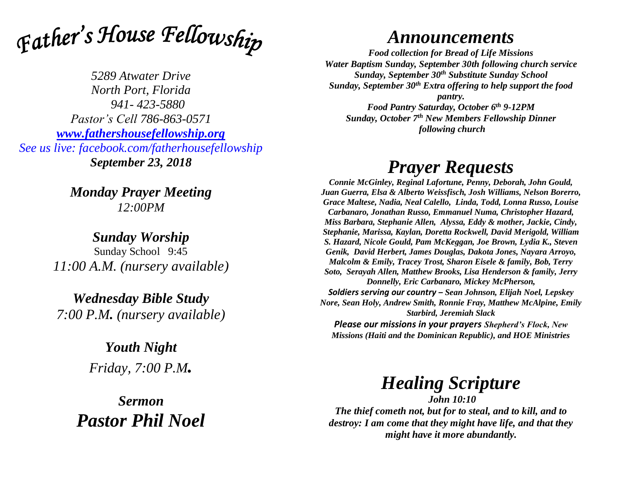

*5289 Atwater Drive North Port, Florida 941- 423-5880 Pastor's Cell 786-863-0571 [www.fathershousefellowship.org](http://www.fathershousefellowship.org/) See us live: facebook.com/fatherhousefellowship September 23, 2018*

> *Monday Prayer Meeting 12:00PM*

*Sunday Worship* Sunday School 9:45 *11:00 A.M. (nursery available)*

*Wednesday Bible Study 7:00 P.M. (nursery available)*

> *Youth Night Friday, 7:00 P.M.*

*Sermon Pastor Phil Noel*

## *Announcements*

*Food collection for Bread of Life Missions Water Baptism Sunday, September 30th following church service Sunday, September 30th Substitute Sunday School Sunday, September 30th Extra offering to help support the food pantry.*

*Food Pantry Saturday, October 6th 9-12PM Sunday, October 7th New Members Fellowship Dinner following church*

## *Prayer Requests*

*Connie McGinley, Reginal Lafortune, Penny, Deborah, John Gould, Juan Guerra, Elsa & Alberto Weissfisch, Josh Williams, Nelson Borerro, Grace Maltese, Nadia, Neal Calello, Linda, Todd, Lonna Russo, Louise Carbanaro, Jonathan Russo, Emmanuel Numa, Christopher Hazard, Miss Barbara, Stephanie Allen, Alyssa, Eddy & mother, Jackie, Cindy, Stephanie, Marissa, Kaylan, Doretta Rockwell, David Merigold, William S. Hazard, Nicole Gould, Pam McKeggan, Joe Brown, Lydia K., Steven Genik, David Herbert, James Douglas, Dakota Jones, Nayara Arroyo, Malcolm & Emily, Tracey Trost, Sharon Eisele & family, Bob, Terry Soto, Serayah Allen, Matthew Brooks, Lisa Henderson & family, Jerry Donnelly, Eric Carbanaro, Mickey McPherson, Soldiers serving our country – Sean Johnson, Elijah Noel, Lepskey* 

*Nore, Sean Holy, Andrew Smith, Ronnie Fray, Matthew McAlpine, Emily Starbird, Jeremiah Slack*

*Please our missions in your prayers Shepherd's Flock, New Missions (Haiti and the Dominican Republic), and HOE Ministries*

## *Healing Scripture*

*John 10:10 The thief cometh not, but for to steal, and to kill, and to destroy: I am come that they might have life, and that they might have it more abundantly.*